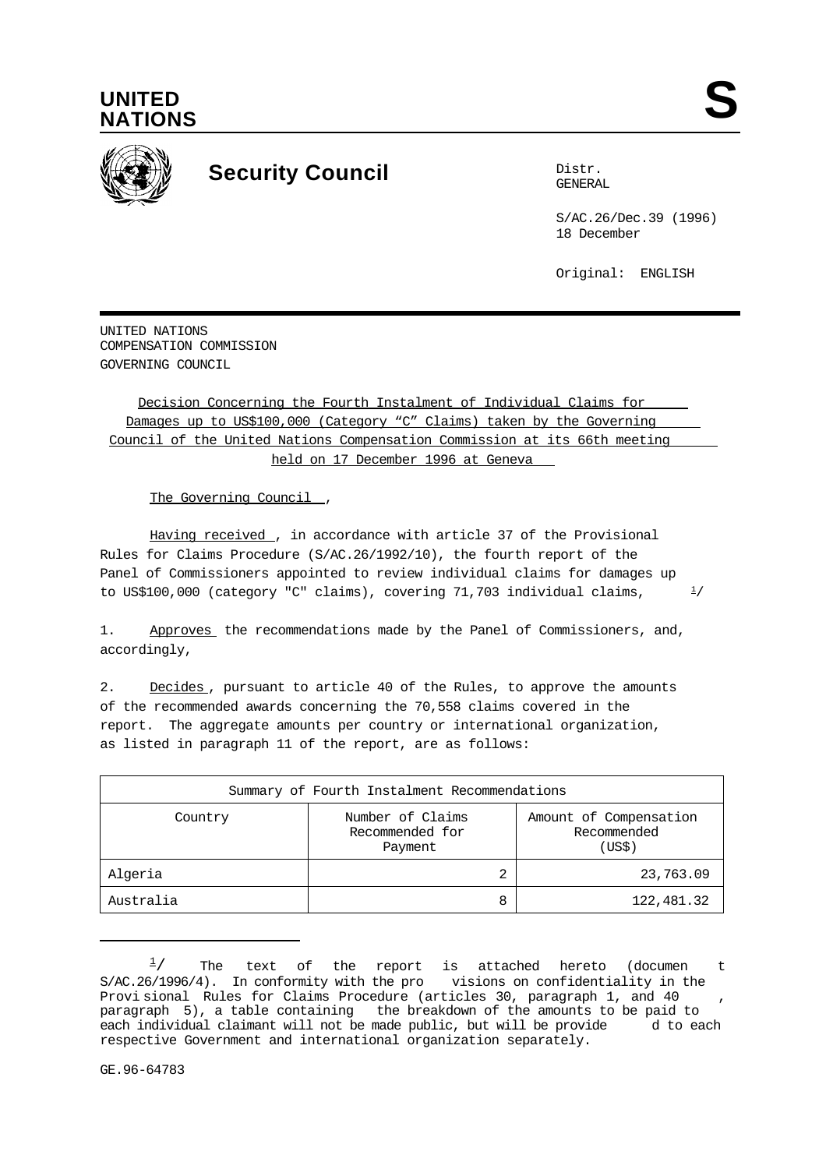

 $1/$ 



## **Security Council** Distribution Distribution

GENERAL

S/AC.26/Dec.39 (1996) 18 December

Original: ENGLISH

UNITED NATIONS COMPENSATION COMMISSION GOVERNING COUNCIL

Decision Concerning the Fourth Instalment of Individual Claims for Damages up to US\$100,000 (Category "C" Claims) taken by the Governing Council of the United Nations Compensation Commission at its 66th meeting held on 17 December 1996 at Geneva

The Governing Council,

Having received, in accordance with article 37 of the Provisional Rules for Claims Procedure (S/AC.26/1992/10), the fourth report of the Panel of Commissioners appointed to review individual claims for damages up to US\$100,000 (category "C" claims), covering 71,703 individual claims, /

1. Approves the recommendations made by the Panel of Commissioners, and, accordingly,

2. Decides, pursuant to article 40 of the Rules, to approve the amounts of the recommended awards concerning the 70,558 claims covered in the report. The aggregate amounts per country or international organization, as listed in paragraph 11 of the report, are as follows:

| Summary of Fourth Instalment Recommendations |                                                |                                                 |  |  |
|----------------------------------------------|------------------------------------------------|-------------------------------------------------|--|--|
| Country                                      | Number of Claims<br>Recommended for<br>Payment | Amount of Compensation<br>Recommended<br>(US\$) |  |  |
| Algeria                                      | 2                                              | 23,763.09                                       |  |  |
| Australia                                    | 8                                              | 122,481.32                                      |  |  |

The text of the report is attached hereto (documen t<br>4). In-conformity-with-the-pro-visions-on-confidentiality-in-the- $\frac{1}{2}$  $S/AC.26/1996/4$ . In conformity with the pro Provi sional Rules for Claims Procedure (articles 30, paragraph 1, and 40 paragraph 5), a table containing the breakdown of the amounts to be paid to each individual claimant will not be made public, but will be provide d to each respective Government and international organization separately.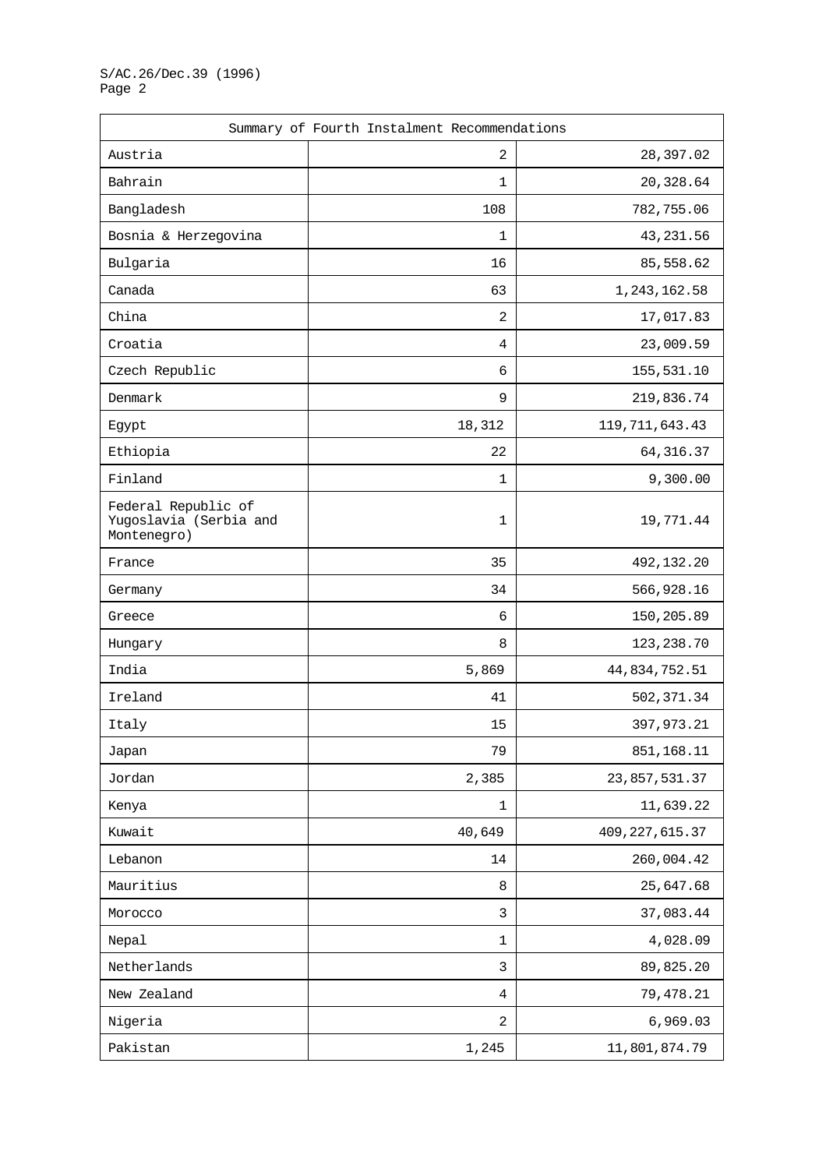| Summary of Fourth Instalment Recommendations                 |                |                  |
|--------------------------------------------------------------|----------------|------------------|
| Austria                                                      | $\overline{2}$ | 28,397.02        |
| Bahrain                                                      | 1              | 20,328.64        |
| Bangladesh                                                   | 108            | 782,755.06       |
| Bosnia & Herzegovina                                         | 1              | 43, 231.56       |
| Bulgaria                                                     | 16             | 85,558.62        |
| Canada                                                       | 63             | 1, 243, 162.58   |
| China                                                        | 2              | 17,017.83        |
| Croatia                                                      | 4              | 23,009.59        |
| Czech Republic                                               | 6              | 155,531.10       |
| Denmark                                                      | 9              | 219,836.74       |
| Egypt                                                        | 18,312         | 119, 711, 643.43 |
| Ethiopia                                                     | 22             | 64, 316.37       |
| Finland                                                      | $\mathbf 1$    | 9,300.00         |
| Federal Republic of<br>Yugoslavia (Serbia and<br>Montenegro) | $\mathbf 1$    | 19,771.44        |
| France                                                       | 35             | 492,132.20       |
| Germany                                                      | 34             | 566,928.16       |
| Greece                                                       | 6              | 150,205.89       |
| Hungary                                                      | 8              | 123, 238.70      |
| India                                                        | 5,869          | 44,834,752.51    |
| Ireland                                                      | 41             | 502, 371.34      |
| Italy                                                        | 15             | 397, 973.21      |
| Japan                                                        | 79             | 851, 168. 11     |
| Jordan                                                       | 2,385          | 23,857,531.37    |
| Kenya                                                        | $\mathbf 1$    | 11,639.22        |
| Kuwait                                                       | 40,649         | 409, 227, 615.37 |
| Lebanon                                                      | 14             | 260,004.42       |
| Mauritius                                                    | $\,8\,$        | 25,647.68        |
| Morocco                                                      | 3              | 37,083.44        |
| Nepal                                                        | 1              | 4,028.09         |
| Netherlands                                                  | 3              | 89,825.20        |
| New Zealand                                                  | 4              | 79,478.21        |
| Nigeria                                                      | $\overline{2}$ | 6,969.03         |
| Pakistan                                                     | 1,245          | 11,801,874.79    |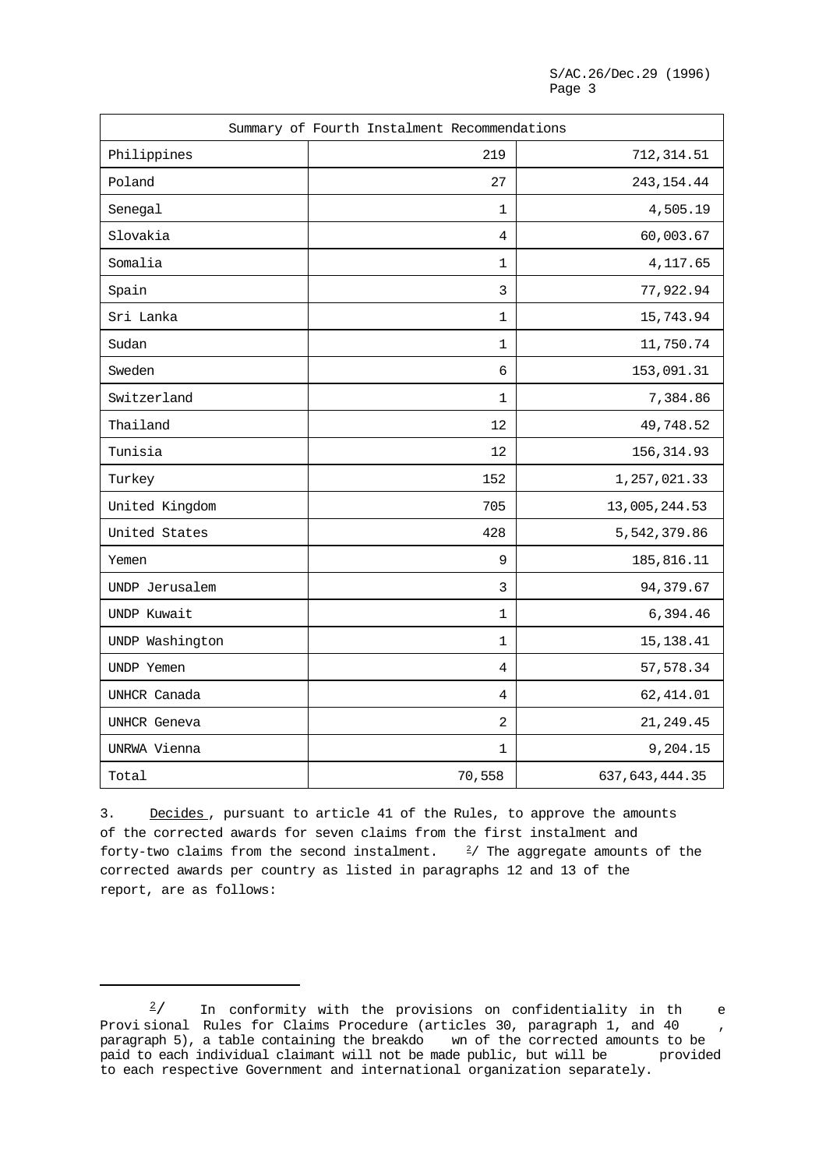|                 | Summary of Fourth Instalment Recommendations |                  |
|-----------------|----------------------------------------------|------------------|
| Philippines     | 219                                          | 712, 314.51      |
| Poland          | 27                                           | 243, 154.44      |
| Senegal         | 1                                            | 4,505.19         |
| Slovakia        | 4                                            | 60,003.67        |
| Somalia         | 1                                            | 4,117.65         |
| Spain           | 3                                            | 77,922.94        |
| Sri Lanka       | 1                                            | 15,743.94        |
| Sudan           | 1                                            | 11,750.74        |
| Sweden          | 6                                            | 153,091.31       |
| Switzerland     | 1                                            | 7,384.86         |
| Thailand        | 12                                           | 49,748.52        |
| Tunisia         | 12                                           | 156, 314.93      |
| Turkey          | 152                                          | 1,257,021.33     |
| United Kingdom  | 705                                          | 13,005,244.53    |
| United States   | 428                                          | 5,542,379.86     |
| Yemen           | 9                                            | 185,816.11       |
| UNDP Jerusalem  | 3                                            | 94,379.67        |
| UNDP Kuwait     | 1                                            | 6,394.46         |
| UNDP Washington | 1                                            | 15, 138. 41      |
| UNDP Yemen      | 4                                            | 57,578.34        |
| UNHCR Canada    | 4                                            | 62, 414.01       |
| UNHCR Geneva    | $\sqrt{2}$                                   | 21, 249.45       |
| UNRWA Vienna    | 1                                            | 9,204.15         |
| Total           | 70,558                                       | 637, 643, 444.35 |

3. Decides, pursuant to article 41 of the Rules, to approve the amounts of the corrected awards for seven claims from the first instalment and forty-two claims from the second instalment.  $\frac{2}{7}$  The aggregate amounts of the corrected awards per country as listed in paragraphs 12 and 13 of the report, are as follows:

In conformity with the provisions on confidentiality in the  $\frac{2}{ }$ Provisional Rules for Claims Procedure (articles 30, paragraph 1, and 40 , paragraph 5), a table containing the breakdo wn of the corrected amounts to be paid to each individual claimant will not be made public, but will be provided paid to each individual claimant will not be made public, but will be to each respective Government and international organization separately.